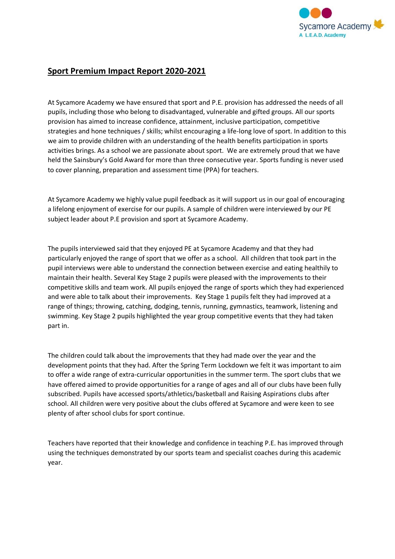

## **Sport Premium Impact Report 2020-2021**

At Sycamore Academy we have ensured that sport and P.E. provision has addressed the needs of all pupils, including those who belong to disadvantaged, vulnerable and gifted groups. All our sports provision has aimed to increase confidence, attainment, inclusive participation, competitive strategies and hone techniques / skills; whilst encouraging a life-long love of sport. In addition to this we aim to provide children with an understanding of the health benefits participation in sports activities brings. As a school we are passionate about sport. We are extremely proud that we have held the Sainsbury's Gold Award for more than three consecutive year. Sports funding is never used to cover planning, preparation and assessment time (PPA) for teachers.

At Sycamore Academy we highly value pupil feedback as it will support us in our goal of encouraging a lifelong enjoyment of exercise for our pupils. A sample of children were interviewed by our PE subject leader about P.E provision and sport at Sycamore Academy.

The pupils interviewed said that they enjoyed PE at Sycamore Academy and that they had particularly enjoyed the range of sport that we offer as a school. All children that took part in the pupil interviews were able to understand the connection between exercise and eating healthily to maintain their health. Several Key Stage 2 pupils were pleased with the improvements to their competitive skills and team work. All pupils enjoyed the range of sports which they had experienced and were able to talk about their improvements. Key Stage 1 pupils felt they had improved at a range of things; throwing, catching, dodging, tennis, running, gymnastics, teamwork, listening and swimming. Key Stage 2 pupils highlighted the year group competitive events that they had taken part in.

The children could talk about the improvements that they had made over the year and the development points that they had. After the Spring Term Lockdown we felt it was important to aim to offer a wide range of extra-curricular opportunities in the summer term. The sport clubs that we have offered aimed to provide opportunities for a range of ages and all of our clubs have been fully subscribed. Pupils have accessed sports/athletics/basketball and Raising Aspirations clubs after school. All children were very positive about the clubs offered at Sycamore and were keen to see plenty of after school clubs for sport continue.

Teachers have reported that their knowledge and confidence in teaching P.E. has improved through using the techniques demonstrated by our sports team and specialist coaches during this academic year.